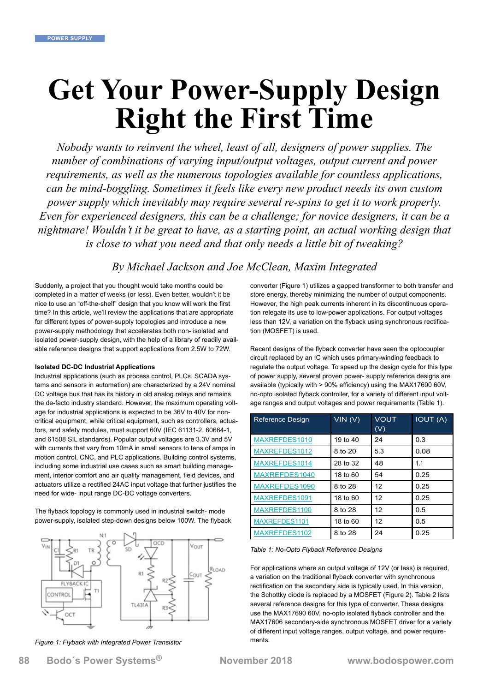# **Get Your Power-Supply Design Right the First Time**

*Nobody wants to reinvent the wheel, least of all, designers of power supplies. The number of combinations of varying input/output voltages, output current and power requirements, as well as the numerous topologies available for countless applications, can be mind-boggling. Sometimes it feels like every new product needs its own custom power supply which inevitably may require several re-spins to get it to work properly. Even for experienced designers, this can be a challenge; for novice designers, it can be a nightmare! Wouldn't it be great to have, as a starting point, an actual working design that is close to what you need and that only needs a little bit of tweaking?*

## *By Michael Jackson and Joe McClean, Maxim Integrated*

Suddenly, a project that you thought would take months could be completed in a matter of weeks (or less). Even better, wouldn't it be nice to use an "off-the-shelf" design that you know will work the first time? In this article, we'll review the applications that are appropriate for different types of power-supply topologies and introduce a new power-supply methodology that accelerates both non- isolated and isolated power-supply design, with the help of a library of readily available reference designs that support applications from 2.5W to 72W.

#### **Isolated DC-DC Industrial Applications**

Industrial applications (such as process control, PLCs, SCADA systems and sensors in automation) are characterized by a 24V nominal DC voltage bus that has its history in old analog relays and remains the de-facto industry standard. However, the maximum operating voltage for industrial applications is expected to be 36V to 40V for noncritical equipment, while critical equipment, such as controllers, actuators, and safety modules, must support 60V (IEC 61131-2, 60664-1, and 61508 SIL standards). Popular output voltages are 3.3V and 5V with currents that vary from 10mA in small sensors to tens of amps in motion control, CNC, and PLC applications. Building control systems, including some industrial use cases such as smart building management, interior comfort and air quality management, field devices, and actuators utilize a rectified 24AC input voltage that further justifies the need for wide- input range DC-DC voltage converters.

The flyback topology is commonly used in industrial switch- mode power-supply, isolated step-down designs below 100W. The flyback



*Figure 1: Flyback with Integrated Power Transistor*

converter (Figure 1) utilizes a gapped transformer to both transfer and store energy, thereby minimizing the number of output components. However, the high peak currents inherent in its discontinuous operation relegate its use to low-power applications. For output voltages less than 12V, a variation on the flyback using synchronous rectification (MOSFET) is used.

Recent designs of the flyback converter have seen the optocoupler circuit replaced by an IC which uses primary-winding feedback to regulate the output voltage. To speed up the design cycle for this type of power supply, several proven power- supply reference designs are available (typically with > 90% efficiency) using the MAX17690 60V, no-opto isolated flyback controller, for a variety of different input voltage ranges and output voltages and power requirements (Table 1).

| <b>Reference Design</b> | VIN(V)   | <b>VOUT</b><br>(V) | <b>IOUT (A)</b> |
|-------------------------|----------|--------------------|-----------------|
| MAXREFDES1010           | 19 to 40 | 24                 | 0.3             |
| MAXREFDES1012           | 8 to 20  | 5.3                | 0.08            |
| MAXREFDES1014           | 28 to 32 | 48                 | 1.1             |
| MAXREFDES1040           | 18 to 60 | 54                 | 0.25            |
| MAXREFDES1090           | 8 to 28  | 12                 | 0.25            |
| MAXREFDES1091           | 18 to 60 | 12                 | 0.25            |
| MAXREFDES1100           | 8 to 28  | 12                 | 0.5             |
| MAXREFDES1101           | 18 to 60 | 12                 | 0.5             |
| MAXREFDES1102           | 8 to 28  | 24                 | 0.25            |

#### *Table 1: No-Opto Flyback Reference Designs*

For applications where an output voltage of 12V (or less) is required, a variation on the traditional flyback converter with synchronous rectification on the secondary side is typically used. In this version, the Schottky diode is replaced by a MOSFET (Figure 2). Table 2 lists several reference designs for this type of converter. These designs use the MAX17690 60V, no-opto isolated flyback controller and the MAX17606 secondary-side synchronous MOSFET driver for a variety of different input voltage ranges, output voltage, and power requirements.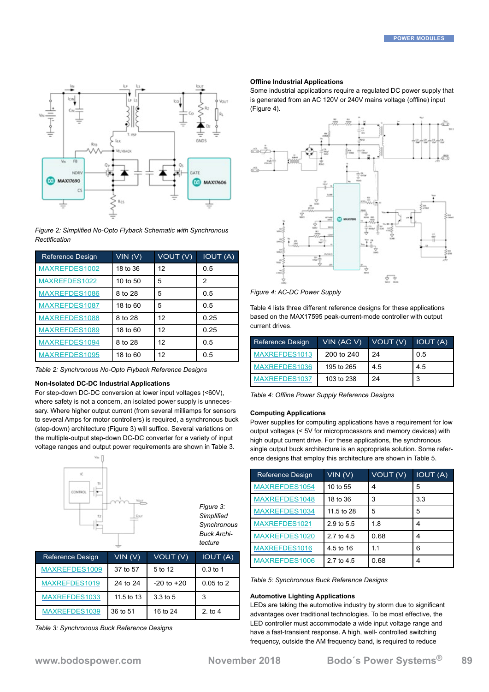

*Figure 2: Simplified No-Opto Flyback Schematic with Synchronous Rectification*

| <b>Reference Design</b> | VIN(V)   | VOUT (V) | <b>IOUT (A)</b> |
|-------------------------|----------|----------|-----------------|
| MAXREFDES1002           | 18 to 36 | 12       | 0.5             |
| MAXREFDES1022           | 10 to 50 | 5        | 2               |
| MAXREFDES1086           | 8 to 28  | 5        | 0.5             |
| MAXREFDES1087           | 18 to 60 | 5        | 0.5             |
| MAXREFDES1088           | 8 to 28  | 12       | 0.25            |
| MAXREFDES1089           | 18 to 60 | 12       | 0.25            |
| MAXREFDES1094           | 8 to 28  | 12       | 0.5             |
| MAXREFDES1095           | 18 to 60 | 12       | 0.5             |

*Table 2: Synchronous No-Opto Flyback Reference Designs*

#### **Non-Isolated DC-DC Industrial Applications**

For step-down DC-DC conversion at lower input voltages (<60V), where safety is not a concern, an isolated power supply is unnecessary. Where higher output current (from several milliamps for sensors to several Amps for motor controllers) is required, a synchronous buck (step-down) architecture (Figure 3) will suffice. Several variations on the multiple-output step-down DC-DC converter for a variety of input voltage ranges and output power requirements are shown in Table 3.



| MAXREFDES1009 | 37 to 57   | 5 to 12        | $0.3$ to 1  |
|---------------|------------|----------------|-------------|
| MAXREFDES1019 | 24 to 24   | $-20$ to $+20$ | $0.05$ to 2 |
| MAXREFDES1033 | 11.5 to 13 | $3.3$ to 5     | -3          |
| MAXREFDES1039 | 36 to 51   | 16 to 24       | 2. to 4     |

*Table 3: Synchronous Buck Reference Designs*

#### **Offline Industrial Applications**

Some industrial applications require a regulated DC power supply that is generated from an AC 120V or 240V mains voltage (offline) input (Figure 4).



*Figure 4: AC-DC Power Supply*

Table 4 lists three different reference designs for these applications based on the MAX17595 peak-current-mode controller with output current drives.

| <b>Reference Design</b> | VIN (AC V) | VOUT (V) | <b>IOUT (A)</b> |
|-------------------------|------------|----------|-----------------|
| MAXREFDES1013           | 200 to 240 | 24       | 0.5             |
| MAXREFDES1036           | 195 to 265 | 4.5      | 4.5             |
| MAXREFDES1037           | 103 to 238 | 24       | ີ               |

*Table 4: Offline Power Supply Reference Designs*

#### **Computing Applications**

Power supplies for computing applications have a requirement for low output voltages (< 5V for microprocessors and memory devices) with high output current drive. For these applications, the synchronous single output buck architecture is an appropriate solution. Some reference designs that employ this architecture are shown in Table 5.

| <b>Reference Design</b> | VIN(V)     | VOUT (V) | <b>IOUT (A)</b> |
|-------------------------|------------|----------|-----------------|
| MAXREFDES1054           | 10 to 55   | 4        | 5               |
| MAXREFDES1048           | 18 to 36   | 3        | 3.3             |
| MAXREFDES1034           | 11.5 to 28 | 5        | 5               |
| MAXREFDES1021           | 2.9 to 5.5 | 18       | 4               |
| MAXREFDES1020           | 2.7 to 4.5 | 0.68     | 4               |
| MAXREFDES1016           | 4.5 to 16  | 11       | 6               |
| MAXREFDES1006           | 2.7 to 4.5 | 0.68     | 4               |

*Table 5: Synchronous Buck Reference Designs* 

#### **Automotive Lighting Applications**

LEDs are taking the automotive industry by storm due to significant advantages over traditional technologies. To be most effective, the LED controller must accommodate a wide input voltage range and have a fast-transient response. A high, well- controlled switching frequency, outside the AM frequency band, is required to reduce